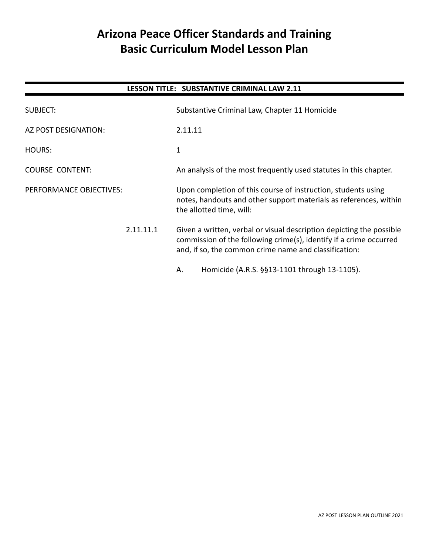# **Arizona Peace Officer Standards and Training Basic Curriculum Model Lesson Plan**

## **LESSON TITLE: SUBSTANTIVE CRIMINAL LAW 2.11**

| SUBJECT:                |  | Substantive Criminal Law, Chapter 11 Homicide                                                                                                                                                       |  |
|-------------------------|--|-----------------------------------------------------------------------------------------------------------------------------------------------------------------------------------------------------|--|
| AZ POST DESIGNATION:    |  | 2.11.11                                                                                                                                                                                             |  |
| HOURS:                  |  | $\mathbf{1}$                                                                                                                                                                                        |  |
| <b>COURSE CONTENT:</b>  |  | An analysis of the most frequently used statutes in this chapter.                                                                                                                                   |  |
| PERFORMANCE OBJECTIVES: |  | Upon completion of this course of instruction, students using<br>notes, handouts and other support materials as references, within<br>the allotted time, will:                                      |  |
| 2.11.11.1               |  | Given a written, verbal or visual description depicting the possible<br>commission of the following crime(s), identify if a crime occurred<br>and, if so, the common crime name and classification: |  |
|                         |  | Homicide (A.R.S. §§13-1101 through 13-1105).<br>Α.                                                                                                                                                  |  |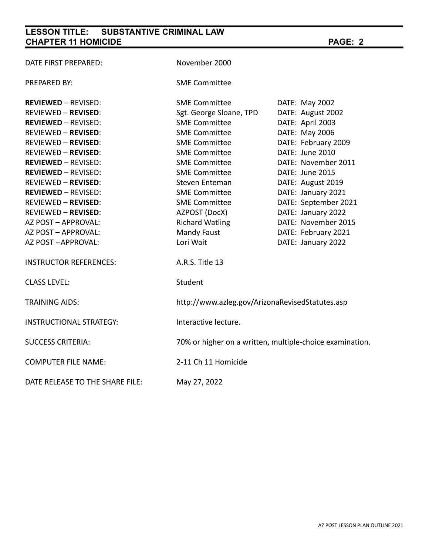# **LESSON TITLE: SUBSTANTIVE CRIMINAL LAW CHAPTER 11 HOMICIDE PAGE: 2**

| DATE FIRST PREPARED:           | November 2000                                            |                      |  |
|--------------------------------|----------------------------------------------------------|----------------------|--|
| PREPARED BY:                   | <b>SME Committee</b>                                     |                      |  |
| <b>REVIEWED - REVISED:</b>     | <b>SME Committee</b>                                     | DATE: May 2002       |  |
| REVIEWED - REVISED:            | Sgt. George Sloane, TPD                                  | DATE: August 2002    |  |
| <b>REVIEWED - REVISED:</b>     | <b>SME Committee</b>                                     | DATE: April 2003     |  |
| REVIEWED – REVISED:            | <b>SME Committee</b>                                     | DATE: May 2006       |  |
| REVIEWED - REVISED:            | <b>SME Committee</b>                                     | DATE: February 2009  |  |
| REVIEWED - REVISED:            | <b>SME Committee</b>                                     | DATE: June 2010      |  |
| <b>REVIEWED - REVISED:</b>     | <b>SME Committee</b>                                     | DATE: November 2011  |  |
| <b>REVIEWED - REVISED:</b>     | <b>SME Committee</b>                                     | DATE: June 2015      |  |
| REVIEWED - REVISED:            | Steven Enteman                                           | DATE: August 2019    |  |
| <b>REVIEWED - REVISED:</b>     | <b>SME Committee</b>                                     | DATE: January 2021   |  |
| REVIEWED - REVISED:            | <b>SME Committee</b>                                     | DATE: September 2021 |  |
| REVIEWED – REVISED:            | AZPOST (DocX)                                            | DATE: January 2022   |  |
| AZ POST – APPROVAL:            | <b>Richard Watling</b>                                   | DATE: November 2015  |  |
| AZ POST – APPROVAL:            | Mandy Faust                                              | DATE: February 2021  |  |
| AZ POST --APPROVAL:            | Lori Wait                                                | DATE: January 2022   |  |
| <b>INSTRUCTOR REFERENCES:</b>  | A.R.S. Title 13                                          |                      |  |
| <b>CLASS LEVEL:</b>            | Student                                                  |                      |  |
| <b>TRAINING AIDS:</b>          | http://www.azleg.gov/ArizonaRevisedStatutes.asp          |                      |  |
| <b>INSTRUCTIONAL STRATEGY:</b> | Interactive lecture.                                     |                      |  |
| <b>SUCCESS CRITERIA:</b>       | 70% or higher on a written, multiple-choice examination. |                      |  |
| <b>COMPUTER FILE NAME:</b>     | 2-11 Ch 11 Homicide                                      |                      |  |
|                                |                                                          |                      |  |

DATE RELEASE TO THE SHARE FILE: May 27, 2022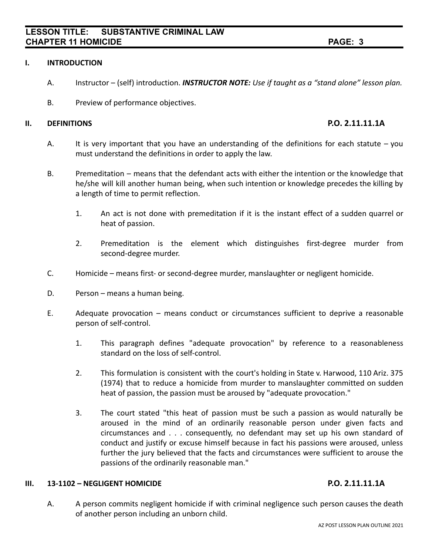### **I. INTRODUCTION**

- A. Instructor (self) introduction. *INSTRUCTOR NOTE: Use if taught as a "stand alone" lesson plan.*
- B. Preview of performance objectives.

### **II. DEFINITIONS P.O. 2.11.11.1A**

- A. It is very important that you have an understanding of the definitions for each statute  $-$  you must understand the definitions in order to apply the law.
- B. Premeditation means that the defendant acts with either the intention or the knowledge that he/she will kill another human being, when such intention or knowledge precedes the killing by a length of time to permit reflection.
	- 1. An act is not done with premeditation if it is the instant effect of a sudden quarrel or heat of passion.
	- 2. Premeditation is the element which distinguishes first-degree murder from second-degree murder.
- C. Homicide means first- or second-degree murder, manslaughter or negligent homicide.
- D. Person means a human being.
- E. Adequate provocation means conduct or circumstances sufficient to deprive a reasonable person of self-control.
	- 1. This paragraph defines "adequate provocation" by reference to a reasonableness standard on the loss of self-control.
	- 2. This formulation is consistent with the court's holding in State v. Harwood, 110 Ariz. 375 (1974) that to reduce a homicide from murder to manslaughter committed on sudden heat of passion, the passion must be aroused by "adequate provocation."
	- 3. The court stated "this heat of passion must be such a passion as would naturally be aroused in the mind of an ordinarily reasonable person under given facts and circumstances and . . . consequently, no defendant may set up his own standard of conduct and justify or excuse himself because in fact his passions were aroused, unless further the jury believed that the facts and circumstances were sufficient to arouse the passions of the ordinarily reasonable man."

### **III. 13-1102 – NEGLIGENT HOMICIDE P.O. 2.11.11.1A**

A. A person commits negligent homicide if with criminal negligence such person causes the death of another person including an unborn child.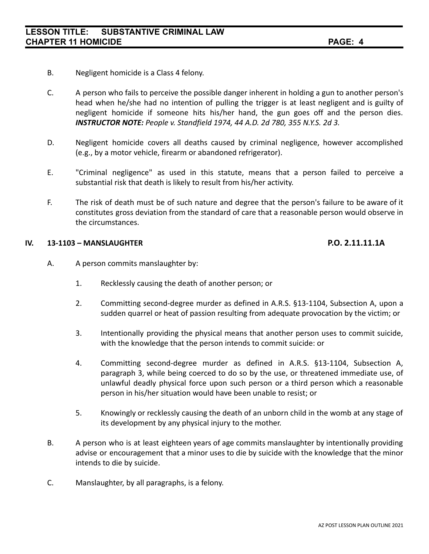- B. Negligent homicide is a Class 4 felony.
- C. A person who fails to perceive the possible danger inherent in holding a gun to another person's head when he/she had no intention of pulling the trigger is at least negligent and is guilty of negligent homicide if someone hits his/her hand, the gun goes off and the person dies. *INSTRUCTOR NOTE: People v. Standfield 1974, 44 A.D. 2d 780, 355 N.Y.S. 2d 3.*
- D. Negligent homicide covers all deaths caused by criminal negligence, however accomplished (e.g., by a motor vehicle, firearm or abandoned refrigerator).
- E. "Criminal negligence" as used in this statute, means that a person failed to perceive a substantial risk that death is likely to result from his/her activity.
- F. The risk of death must be of such nature and degree that the person's failure to be aware of it constitutes gross deviation from the standard of care that a reasonable person would observe in the circumstances.

### **IV. 13-1103 – MANSLAUGHTER P.O. 2.11.11.1A**

- A. A person commits manslaughter by:
	- 1. Recklessly causing the death of another person; or
	- 2. Committing second-degree murder as defined in A.R.S. §13-1104, Subsection A, upon a sudden quarrel or heat of passion resulting from adequate provocation by the victim; or
	- 3. Intentionally providing the physical means that another person uses to commit suicide, with the knowledge that the person intends to commit suicide: or
	- 4. Committing second-degree murder as defined in A.R.S. §13-1104, Subsection A, paragraph 3, while being coerced to do so by the use, or threatened immediate use, of unlawful deadly physical force upon such person or a third person which a reasonable person in his/her situation would have been unable to resist; or
	- 5. Knowingly or recklessly causing the death of an unborn child in the womb at any stage of its development by any physical injury to the mother.
- B. A person who is at least eighteen years of age commits manslaughter by intentionally providing advise or encouragement that a minor uses to die by suicide with the knowledge that the minor intends to die by suicide.
- C. Manslaughter, by all paragraphs, is a felony.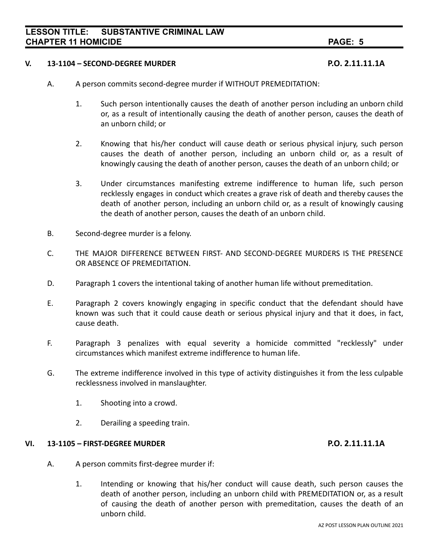### **V. 13-1104 – SECOND-DEGREE MURDER P.O. 2.11.11.1A**

- A. A person commits second-degree murder if WITHOUT PREMEDITATION:
	- 1. Such person intentionally causes the death of another person including an unborn child or, as a result of intentionally causing the death of another person, causes the death of an unborn child; or
	- 2. Knowing that his/her conduct will cause death or serious physical injury, such person causes the death of another person, including an unborn child or, as a result of knowingly causing the death of another person, causes the death of an unborn child; or
	- 3. Under circumstances manifesting extreme indifference to human life, such person recklessly engages in conduct which creates a grave risk of death and thereby causes the death of another person, including an unborn child or, as a result of knowingly causing the death of another person, causes the death of an unborn child.
- B. Second-degree murder is a felony.
- C. THE MAJOR DIFFERENCE BETWEEN FIRST- AND SECOND-DEGREE MURDERS IS THE PRESENCE OR ABSENCE OF PREMEDITATION.
- D. Paragraph 1 covers the intentional taking of another human life without premeditation.
- E. Paragraph 2 covers knowingly engaging in specific conduct that the defendant should have known was such that it could cause death or serious physical injury and that it does, in fact, cause death.
- F. Paragraph 3 penalizes with equal severity a homicide committed "recklessly" under circumstances which manifest extreme indifference to human life.
- G. The extreme indifference involved in this type of activity distinguishes it from the less culpable recklessness involved in manslaughter.
	- 1. Shooting into a crowd.
	- 2. Derailing a speeding train.

### **VI. 13-1105 – FIRST-DEGREE MURDER P.O. 2.11.11.1A**

- A. A person commits first-degree murder if:
	- 1. Intending or knowing that his/her conduct will cause death, such person causes the death of another person, including an unborn child with PREMEDITATION or, as a result of causing the death of another person with premeditation, causes the death of an unborn child.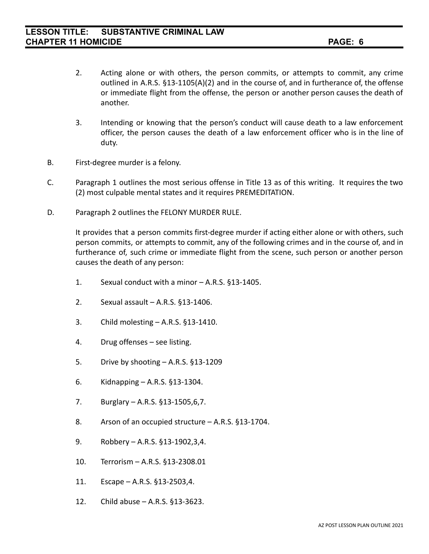- 2. Acting alone or with others, the person commits, or attempts to commit, any crime outlined in A.R.S. §13-1105(A)(2) and in the course of, and in furtherance of, the offense or immediate flight from the offense, the person or another person causes the death of another.
- 3. Intending or knowing that the person's conduct will cause death to a law enforcement officer, the person causes the death of a law enforcement officer who is in the line of duty.
- B. First-degree murder is a felony.
- C. Paragraph 1 outlines the most serious offense in Title 13 as of this writing. It requires the two (2) most culpable mental states and it requires PREMEDITATION.
- D. Paragraph 2 outlines the FELONY MURDER RULE.

It provides that a person commits first-degree murder if acting either alone or with others, such person commits, or attempts to commit, any of the following crimes and in the course of, and in furtherance of, such crime or immediate flight from the scene, such person or another person causes the death of any person:

- 1. Sexual conduct with a minor A.R.S. §13-1405.
- 2. Sexual assault A.R.S. §13-1406.
- 3. Child molesting A.R.S. §13-1410.
- 4. Drug offenses see listing.
- 5. Drive by shooting A.R.S. §13-1209
- 6. Kidnapping A.R.S. §13-1304.
- 7. Burglary A.R.S. §13-1505,6,7.
- 8. Arson of an occupied structure A.R.S. §13-1704.
- 9. Robbery A.R.S. §13-1902,3,4.
- 10. Terrorism A.R.S. §13-2308.01
- 11. Escape A.R.S. §13-2503,4.
- 12. Child abuse A.R.S. §13-3623.